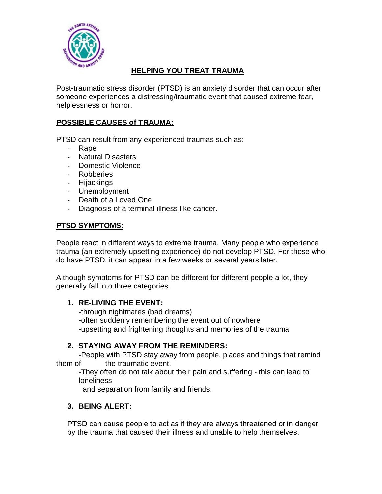

# **HELPING YOU TREAT TRAUMA**

Post-traumatic stress disorder (PTSD) is an anxiety disorder that can occur after someone experiences a distressing/traumatic event that caused extreme fear, helplessness or horror.

### **POSSIBLE CAUSES of TRAUMA:**

PTSD can result from any experienced traumas such as:

- Rape
- Natural Disasters
- Domestic Violence
- Robberies
- Hijackings
- Unemployment
- Death of a Loved One
- Diagnosis of a terminal illness like cancer.

## **PTSD SYMPTOMS:**

People react in different ways to extreme trauma. Many people who experience trauma (an extremely upsetting experience) do not develop PTSD. For those who do have PTSD, it can appear in a few weeks or several years later.

Although symptoms for PTSD can be different for different people a lot, they generally fall into three categories.

### **1. RE-LIVING THE EVENT:**

-through nightmares (bad dreams) -often suddenly remembering the event out of nowhere -upsetting and frightening thoughts and memories of the trauma

### **2. STAYING AWAY FROM THE REMINDERS:**

-People with PTSD stay away from people, places and things that remind them of the traumatic event.

-They often do not talk about their pain and suffering - this can lead to loneliness

and separation from family and friends.

### **3. BEING ALERT:**

PTSD can cause people to act as if they are always threatened or in danger by the trauma that caused their illness and unable to help themselves.